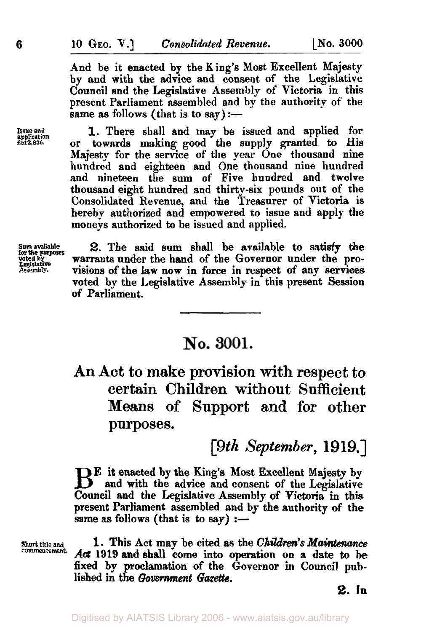And be it enacted by the King's Most Excellent Majesty by **and** with the advice and consent of the Legislative Council and the Legislative Assembly of Victoria in this present Parliament assembled and by the authority of the same as follows (that is to say) :-

1. There shall and may be issued and applied for or towards making good the supply granted to His Majesty for the service of the year One thousand nine hundred and eighteen and One thousand nine hundred and nineteen the sum of Five hundred and twelve thousand eight hundred and thirty-six pounds out of the Consolidated Revenue, and the Treasurer of **Victoria** is hereby authorized and empowered to issue and apply the moneys authorized to be issued and applied.

**Sum avaliable voted by for the purposes Assembly. Leglislative** 

**Issue and application f 512,836.** 

**2.** The said sum shall be available to **satisfy** the warrants under the hand of the Governor under the provisions of the **law** now in force in respect of any services voted by the Legislative Assembly in this present Session of Parliament.

## No. 3001.

An Act to **make** provision with respect to certain Children without Sufficient Means of Support **and** for other purposes.

*[9th September,* **1919.]** 

**E** it enacted by the King's Most Excellent Majesty by and with the advice and consent of the Legislative Council and the Legislative Assembly of Victoria in this present Parliament assembled **and by** the authority of the same as follows (that is to say)  $:$ -

**Commencement.** 

**Short title and 1. This** Act may be cited **as** the *Children's Maintenance*  Act 1919 and shall come into operation on a date to be fixed by proclamation of the Governor in Council published in the *Government Gazette.* 

**2. In**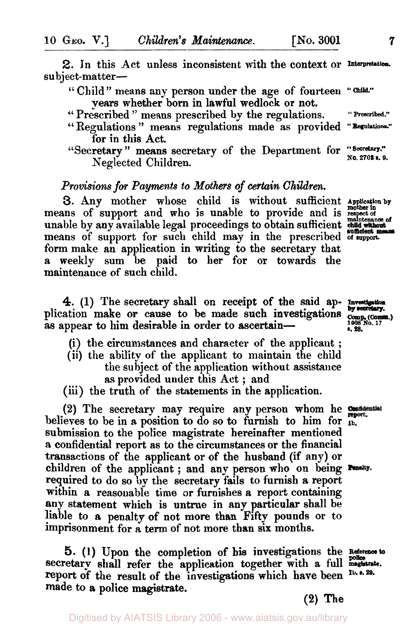**2.** In this Act unless inconsistent with the context or Interpretation. subject-matter-

'' Child" means **any** person under the age of fourteen **"Child."** 

years whether born in lawful wedlock or not.

" Prescribed " means prescribed by the regulations. **"Prescribed."**  '' Regulations " means regulations made as provided **"Regulations."** 

"Secretary" means secretary of the Department for "Secretary."  $N$ eglected Children.

## *Provisions for Payments to Mothers of certain Children.*

**3.** Any mother whose child is without sufficient **Application by mother in**  means of support and who is unable to provide and is *respect of maintenance of*  unable by any available legal proceedings to obtain sufficient means of support for such child may in the prescribed **of support**  form make an application in writing to the secretary that a weekly sum be paid to her for or towards the maintenance of such child. means of support for such child may in the prescribed of support.<br> **1908** form make an application in writing to the secretary that<br> **1908** maintenance of such child.<br> **1908** material control in the said ap-**Investigation** 

4. (1) The secretary shall on receipt of the said ap- **by secretary**. as appear to him desirable in order to ascertain-

- (i) the circumstances and character of the applicant ;
- (ii) the ability of the applicant to maintain the child the subject of the application without assistance
	- **as** provided under this Act ; and
- (iii) the truth of the statements in the application.

**(2)** The secretary **may** require any person whom he believes to be in a position to do *so* to furnish to him for **Ib.**  submission to the police magistrate hereinafter mentioned a confidential report as to the circumstances or the financial transactions of the applicant or of the husband (if any) or children of the applicant; and any person who on being Punty. required to do so **by** the secretary fails to furnish **a** report within a reasonable **time** or furnishes **a** report containing any statement which is untrue in any particular shall be liable to **a** penalty of not more than Fifty pounds or to imprisonment for a term of not more than six months.

*5.* **(1)** Upon the completion of his investigations the **Reference to**  secretary shall refer the application together with a full magistrate. **report** of the result of the investigations which have been **Ib. s. 29. made** to **a** police magistrate. **(2) The** 

*s.28.* 

for in this Act.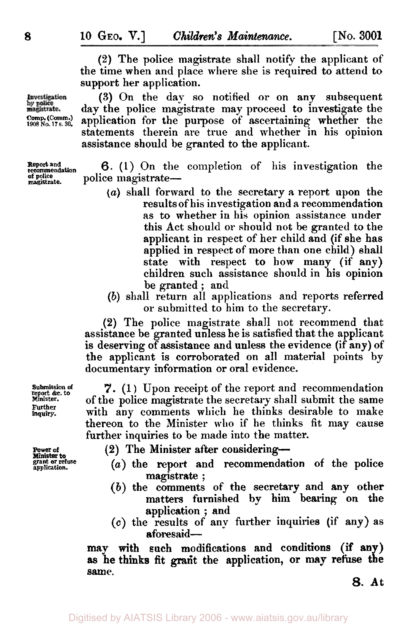(2) The police magistrate shall notify the applicant of the time when and place where she is required to attend to support her application.

(3) On the day so notified **or** on any subsequent day the police magistrate may proceed to investigate the application for the purpose of ascertaining whether the statements therein are true and whether in his opinion assistance should be granted to the applicant.

**Report recommendation and 6. (1)** On the completion of his investigation the **of magistrate. police** police magistrate-

- *(a)* shall forward to the secretary a report upon the results of his investigation and a recommendation as to whether in his opinion assistance under this Act should or should not be granted to the applicant in respect of her child and (if she has applied in respect of more than one child) shall state with respect to how many (if any) children such assistance should in his opinion be granted ; and
- (b) shall return all applications and reports referred or submitted to him to the secretary.

**(2)** The police magistrate shall not recommend that assistance be granted unless he is satisfied that the applicant is deserving of assistance and unless the evidence (if any) of the applicant is corroborated on all material points by documentary information or oral evidence.

7. (1 ) Upon receipt of the report and recommendation of the police magistrate the secretary shall submit the same with any comments which he thinks desirable to make thereon to the Minister **who** if he thinks fit may cause further inquiries to be made into the matter.

- **(2)** The Minister after considering-
- **grant application. or refuse** *(a)* the **report** and recommendation of the police magistrate ;
	- (b) the comments of the secretary and **any** other matters furnished by him bearing on the application ; and
	- **(c)** the results of any further inquiries (if any) as aforesaid-

may with such modifications and conditions (if any) same. as he thinks fit grant the application, or may refuse the

*8.* At

Investigation<br>by police<br>magistrate. **Comp. (Comm.) 1908 No. <sup>17</sup>s. 30.** 

**report &c. to**<br>Minister. **Further inquiry.** 

**Power of Minister to**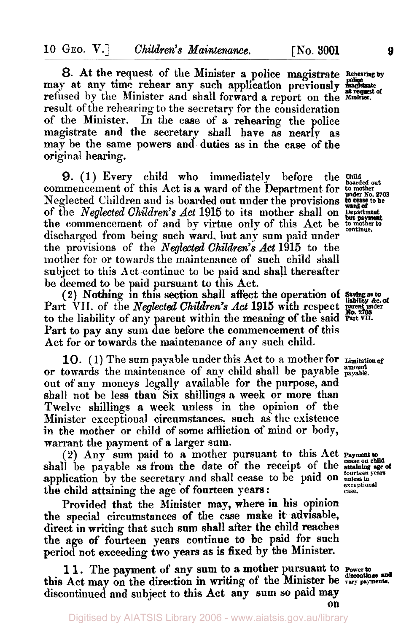*8.* At the request of the Minister **a** police magistrate **Rehearing by**  may at any time rehear any such application previously magistrate refused by the Minister and shall forward **a** report on the **Minister.**  result of the rehearing to the secretary for the consideration of the Minister. In the case of a rehearing the police magistrate and the secretary shall have **as** nearly as may be the same powers and duties as in the case of the original hearing.

commencement of this Act is a ward of the Department for **to point of the Conduct** No. 2703 Neglected Children and is boarded **out** under the provisions **to be**  the commencement of and by virtue only of this Act be **but payment to mother to continue** discharged from being such ward, but any sum paid under discharged from being such ward, but any sum paid under<br>the provisions of the *Neglected Children's Act* 1915 to the mother for or towards the maintenance of such child shall subject to this Act continue to be paid and shall thereafter be deemed to be paid pursuant to this Act. 9. (1) Every child who immediately before the **Child** of the *Neglected Children's Act* 1915 to its mother shall on **Department but payment** 

(2) Nothing in this section shall affect the operation of *Saving as to liability &c. of*  Part VII. of the *Neglected Children's Act* **1915** with respect **Parent under** to the liability of any parent within the meaning of the said **Part VII.**  Part to pay any sum due before the commencement of this Act for or towards the maintenance of **any** such child.

10. (1) The sum payable under this Act to a mother for **Limitation of** or towards the maintenance of any child shall be payable amount out of any moneys legally available for the purpose, and shall not be less than Six shillings a **week** or more than Twelve shillings **a** week unless in the opinion of the Minister exceptional circumstances. such as the existence in the mother or child of some affliction of mind or body, warrant the payment of a larger sum.

(2) Any sum paid to *a* mother pursuant to this Act shall be payable as from the date of the receipt of the **Payment to cease on child attaining age** *of*  application by the secretary and shall cease to be paid on  $\frac{\text{fourteen years}}{\text{unless in}}$ the child attaining the age of fourteen years:

Provided that the Minister may, where in his opinion the special circumstances of the case make it advisable, direct in writing that such sum shall after the child reaches the age of fourteen years continue to be paid for such period not exceeding two years *as* is fixed **by** the Minister.

1 **1.** The payment of any sum to **a** mother pursuant to **Power** *to* **discontinue** and this Act may on the direction in writing of the Minister be vary payments. discontinued and subject to this Act any sum so paid **may on** 

**exceptional case.**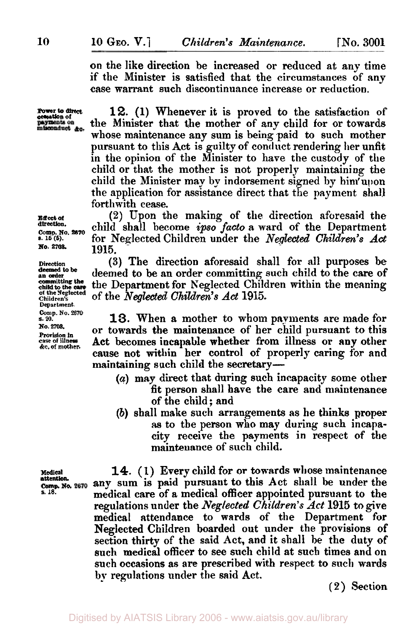**on** the like direction be increased or reduced at any time if the Minister is satisfied that the circumstances of any case warrant such discontinuance increase or reduction.

misconduct &c.

**cower to direct 12.** (1) Whenever it is proved to the satisfaction of ensurance of **payments** on the Minister that the mother of any child for or towards the Minister that the mother of any child for or towards whose maintenance any sum is being paid to such mother pursuant to this Act is guilty of conduct rendering her unfit in the opinion of the Minister to have the custody of the child or that the mother is not properly maintaining the child the Minister may by indorsement signed by him'upon the application for assistance direct that the payment shall forthwith cease.

**Effect of** (2) Upon the making of the direction aforesaid the direction. direction.<br> **Comp. No. 2870** child shall become *ipso facto* a ward of the Department<br> **B.** 15(5). **Comparison** for Neglected Children under the *Neglected Children's Act* **s. 15 (5).** for Neglected Children under the *Neglected Children's Act*  **1915.** 

**Direction (3)** The direction aforesaid shall for **all** purposes be deemed to be an order committing such child to the care of the Department for Neglected Children within the meaning of the *Neglected Children's Act* **1915.** 

> **13.** When a mother to whom payments are made for or towards the maintenance of her child pursuant to this Act becomes incapable whether **from** illness or **any** other cause not within her control of properly caring for and maintaining such child the secretary-

- *(a)* may direct that during such incapacity some other fit person shall have the care and maintenance of the child ; and
- (b) shall make such arrangements **as** he thinks proper **as** to the person who may during such incapacity receive the payments in respect of the maintenance of **such** child.

**14.** (1) Every child for or towards whose maintenance any sum is paid pursuant **to** this Act **shall** be under the medical care of a medical officer appointed pursuant to the regulations under the *Neglected Children's* Act **1915** to give medical attendance to wards of the Department for Neglected Children boarded out under the provisions of section thirty of the said Act, and it shall be the duty of such medical officer to **see** such child at such times and on such occasions as are prescribed with respect to **such** wards **by** regulations under the said Act.

**(2)** Section

**No. 2705.** 

**deemed to be committing the of the Neglected Children's Department.** 

**Comp. No. 2670 s. 20. No. 2703.** 

**Provision in**   $\&c.$  of mother.

**Medical s. 18. attention.**  Comp. No. 2670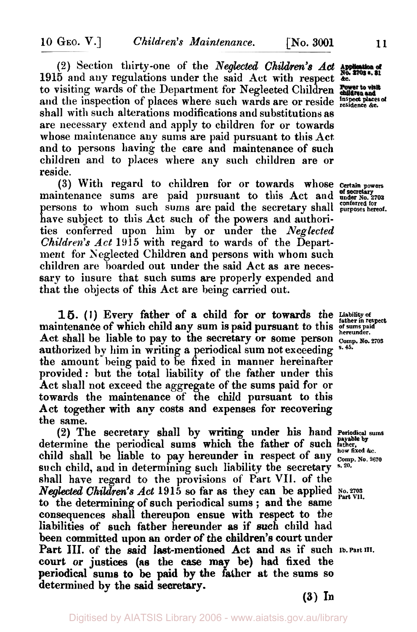(2) Section thirty-one of the *Neglected Children's* Act 1915 and any regulations under the said **Act** with respect *&c.*  to visiting wards of the Department for Neglected Children and the inspection of places where such wards are or reside *inspect places* of shall with such alterations modifications and substitutions as are necessary extend and apply to children for or towards whose maintenance any sums are paid pursuant to this Act and to persons having the care and maintenance of such children and to places where any such children are or reside.

(3) With regard to children for or towards whose **Certain powers**  maintenance sums are paid pursuant to this Act and **under No. 2703 of secretary**  persons to whom such sums are paid the secretary shall purposes hereof. have subject to this Act such of the powers and authorities conferred upon him by or under the Neglected Children's Act **1915** with regard to wards of the Department for Neglected Children and persons with whom such children are hoarded out under the said Act as are necessary to insure that such sums are properly expended and that the objects of this Act are being carried out.

**1** *5.* ( I) Every father of a child for or towards the *Liability of father in respect*  maintenance of which child any sum is paid pursuant to this **paid hereunder**. Act shall be liable **to** pay to the secretary or some person **comp. No. 2703**  authorized by him in writing a periodical sum not exceeding **s.45.**  the amount being paid to be fixed in manner hereinafter provided: but the total liability of the father under this Act shall not exceed the aggregate of the sums paid for or towards the maintenance of the child pursuant to this Act together with any costs and expenses for recovering the same.

(2) The secretary shall by **writing** under his hand **Periodical sums**  determine the periodical sums which the father of such tather, child shall be liable to pay hereunder in respect of any **Letter and** Comp. No. 2670 such child, and in determining such liability the secretary shall have regard to the provisions of Part VII. of the *Neglected Children's Act* 1915 so far as they can be applied No. 2703 to the determining **of** such periodical sums ; and the same consequences shall thereupon ensue with respect to the liabilities of such father hereunder **as** if such child had **been** committed upon an order of the children's **court** under Part III. of the said last-mentioned Act and as if such **Ib. Part III. court** or justices (as the **case may** be) **had** fixed the periodical sums **to** be paid by the father *at* the sums **so**  determined by the said secretary.

**(3) In**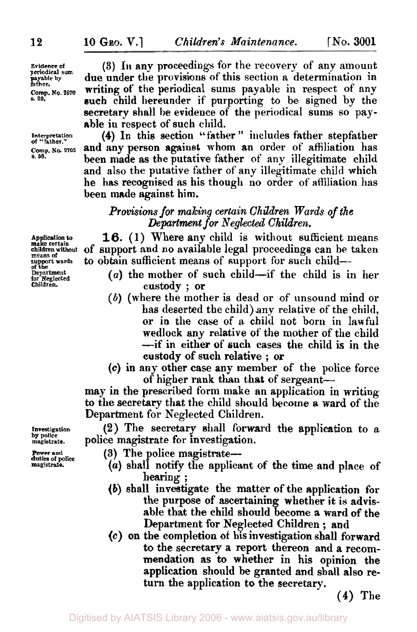**Evidence of periodical sum payable by father. Comp. No. 2670** *s.* **20.** 

**Interpretation**  *of* **"father." Comp. No. 2703 s. 58.** 

**Application to make certain children without means of support wards**  *of* **the Department for Neglected Children.** 

**(3)** III any proceedings for the recovery of any amount due under the provisions of this section **a** determination in writing of the periodical sums payable in respect of any such child hereunder if purporting to be signed by the secretary shall **be** evidence of the periodical sums so payable in respect of such child.

**(4)** In this section ''father " includes father stepfather and any person against whom an order of affiliation has been **made as** the putative father of any illegitimate child and also the putative father of any illegitimate child which he has recognised as his though no order of affiliation has been made against him.

## *Provisions for making certain Children Wards of the Department for Neglected Children.*

16. (1) Where any child **is** without sufficient means of support and no available legal proceedings can be taken to obtain sufficient means of support for **such** child-

- *(a)* the mother of such child-if the child is in her custody ; or
- (b) (where the mother is dead or of unsound mind or has deserted the child) **any** relative of the child, or in the case of a child not born in lawful wedlock any relative of the mother of the child -if in either of such cases the child **is** in the **custody** of such relative ; or
- *(c)* in any other **case** any member of the police force of higher rank than that of sergeant-

may in the prescribed form make an application in writing to the secretary that the child should become **a** ward of the Department for Neglected Children.

**(2)** The secretary shall forward the application to a police magistrate for investigation.

**Power and duties** *of* **police magistrate.** 

**Investigation by police magistrate.** 

- (3) The police magistrate-
- (*a*) shall notify the applicant of the time and place of hearing ; hearing ;<br>(b) shall investigate the matter of the application for
- the purpose of ascertaining whether it is advisable that the child should become **a** ward of the Department for Neglected Children ; and
- *(c)* **on** the completion **of** his investigation shall forward to the secretary **a** report thereon and **a** recommendation **as** to whether in his opinion the application should be granted and **shall** also return the application to the secretary.

**(4)** The

**12**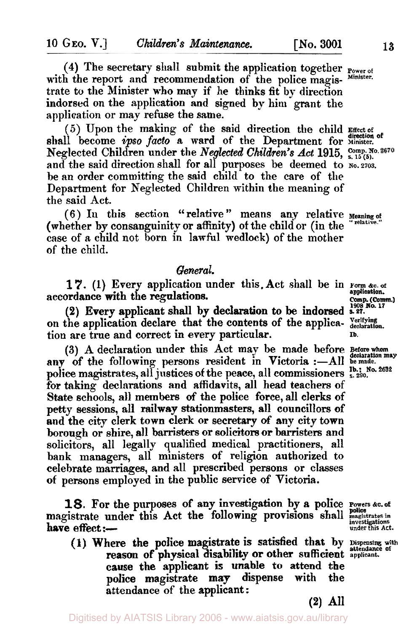**(4)** The secretary shall submit the application together **Power of**  with the report and recommendation of the police magistrate to the Minister who may if he thinks 6t by direction indorsed on the application and signed by him grant the application or may refuse the same.

*(5)* Upon the making of the said direction the child **Effect of**  shall become *ipso facto* a ward of the Department for *direction* of Neglected Children under the *Neglected Children's Act* 1915, Comp. No. 2670 and the said direction shall for all purposes be deemed to **No. 2703**. be an order committing the said child to the care of the Department for Neglected Children within the meaning of the said Act.

(whether by consanguinity or affinity) of the child or (in the case of a child not born in lawful wedlock) of the mother of the child. (6) In this section "relative" means any relative **Meaning of** 

## *General.*

17. (1) Every application under this. Act shall be in **Form &c. of** application.<br>accordance with the regulations. accordance with the regulations.<br>
Comp. (Comm.) 1998 No. 17<br>
Accordance with the regulations.

**(2)** Every applicant shall by declaration to be indorsed **s. 27.**  on the application declare that the contents of the applica- **declaration**.<br>
tion are true and correct in every particular. tion are true and correct in every particular. **Ib.** 

(3) A declaration under this Act may be made before Before whom any of the following persons resident in Victoria :- All be made. police magistrates, all justices of the peace, all commissioners  $\frac{16}{5}$ ,  $\frac{16}{290}$ ,  $\frac{2632}{290}$ for taking declarations and affidavits, all head teachers of **State** schools, all members *of* the police force, all clerks of petty sessions, all railway stationmasters, all councillors of and the city clerk town clerk or secretary *of* any city town borough or shire, all **barristers** or solicitors or barristers and solicitors, all legally qualified medical practitioners, all bank managers, all ministers of religion authorized to celebrate marriages, and all prescribed persons or classes of persons employed in the public service of Victoria.

**18.** For the purposes of any investigation by a police **Powers &c. of**  magistrate under this Act the following provisions shall magistrates in have effect :-

(1) Where the police magistrate is satisfied that by **Dispensing** with reason of physical disability **or** other sufficient **applicant. cause** the applicant **is** unable to attend the police magistrate may dispense with the attendance of the applicant:

relative.

**(2) All**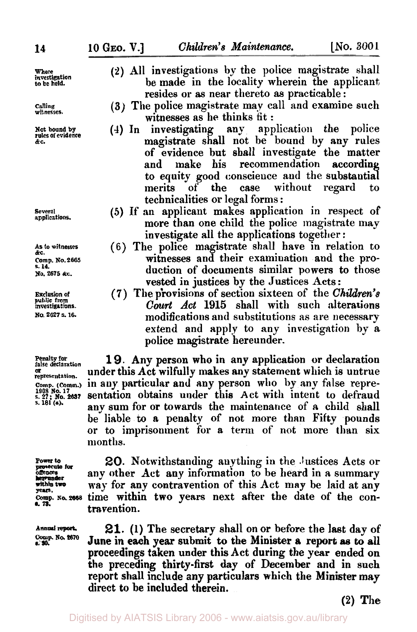**Where investigation to be held.** 

**Calling witnesses.** 

**Not bound by rules of evidence &C.** 

**Several applications.** 

**As to witnesses &C. Comp. No. 2665 s. 14. NO. 2675** *&c.* 

**Exclusion of public from investigations. NO. 2627 S.** *16.* 

**Penalty for false declaration or representation. Comp. (Comm.) 1908 No. 17 s. 27: No.** *<sup>2637</sup>* **s. 181** *(a).* 

**hereunder**  \*. **is.** 

- **(3)** All investigations by the police magistrate shall be made in the locality wherein the applicant resides or **as** near thereto **as** practicable :
- **(3)** The police magistrate may call and examine such
- witnesses as he thinks fit :<br>investigating any application the **(4)** In investigating any application the police magistrate shall not be bound by any rules of evidence but shall investigate the matter and make his recommendation according to equity good conscience and the substantial merits **of** the case without regard to technicalities or legal forms :
- *(5)* If an applicant makes application in respect of more than one child the police magistrate **may**  investigate all the applications together :
- (6) The police magistrate shall have in relation to witnesses and their examination and the production of documents similar powers to those vested in justices by the Justices Acts:
- **(7)** The provisions of section sixteen of the *Children's Court Act* **1915** shall with such alterations modifications and substitutions as are necessary extend and apply to any investigation by a police magistrate hereunder.

**19.** Any person who in any application **or** declaration under this Act wilfully makes any statement which is untrue<br>in any particular and any person who by any false reprety for<br>
sentation. under this Act wilfully makes any statement which is untrue<br>
sentation. in any particular and any person who by any false repre-<br> **No.17**, No.2837 Sentation obtains under this Act with intent to defraud<br> be liable **to a** penalty of not more than Fifty pounds or to imprisonment for **a** term of not more than six months.

Power to **20.** Notwithstanding anything in the Justices Acts or any other Act any information to be heard in a summary way for any contravention of this Act may be laid at any **years. Comp. No. 2668** time within two years next after the date of the contravention.

Annual report. **21.** (1) The secretary shall on or before the last day of  $\frac{\text{Conn}}{\text{s} \cdot \text{30}}$ .  $\frac{\text{Non}}{\text{s} \cdot \text{30}}$ . **June in each year submit to the Minister a report as to all** proceedings taken under this Act during the year ended **on**  the preceding thirty-first day of **December** and in such report shall include any particulars which the Minister **may**  direct to be included therein.

**(2)** The